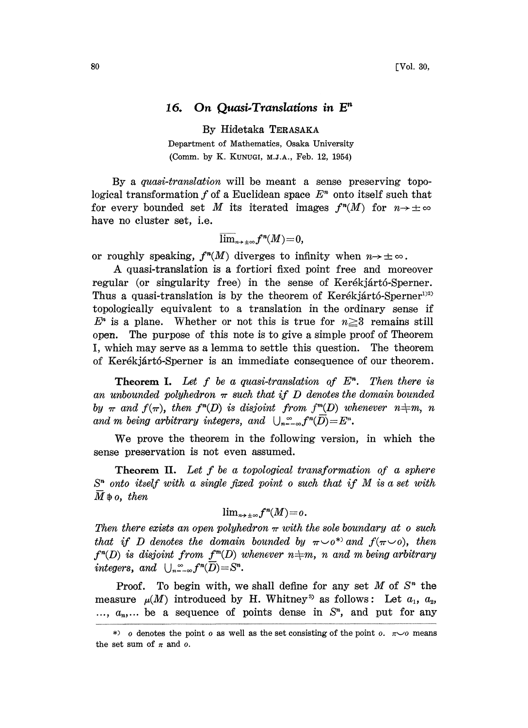## 16. On Quasi-Translations in  $E<sup>n</sup>$

By Hidetaka TERASAKA

Department of Mathematics, Osaka University (Comm. by K. KUNUGI, M.J.A., Feb. 12, 1954)

By a quasi-translation will be meant a sense preserving topological transformation f of a Euclidean space  $E<sup>n</sup>$  onto itself such that for every bounded set M its iterated images  $f^{n}(M)$  for  $n \to \pm \infty$ have no cluster set, i.e.

$$
\mathop{\overline{\lim}}_{n\to\pm\infty}f^n(M)\!=\!0,
$$

or roughly speaking,  $f^n(M)$  diverges to infinity when  $n \to \pm \infty$ .

A quasi-translation is <sup>a</sup> fortiori fixed point free and moreover regular (or singularity free) in the sense of Kerékjártó-Sperner. Thus a quasi-translation is by the theorem of Kerékjártó-Sperner<sup>1)2)</sup> topologically equivalent to a translation in the ordinary sense if  $E<sup>n</sup>$  is a plane. Whether or not this is true for  $n \geq 3$  remains still open. The purpose of this note is to give a simple proof of Theorem I, which may serve as a lemma to settle this question. The theorem of Kerékjártó-Sperner is an immediate consequence of our theorem.

**Theorem I.** Let f be a quasi-translation of  $E<sup>n</sup>$ . Then there is an unbounded polyhedron  $\pi$  such that if D denotes the domain bounded by  $\pi$  and  $f(\pi)$ , then  $f^{n}(D)$  is disjoint from  $f^{m}(D)$  whenever  $n \neq m$ , n and m being arbitrary integers, and  $\bigcup_{n=-\infty}^{\infty} f^n(\overline{D}) = E^n$ .

We prove the theorem in the following version, in which the sense preservation is not even assumed.

Theorem II. Let f be a topological transformation of a sphere  $S<sup>n</sup>$  onto itself with a single fixed point o such that if M is a set with  $\overline{M}$   $\Rightarrow$  o, then

$$
\textstyle \lim_{n\to\pm\infty}f^n(M)\!=\!o.
$$

Then there exists an open polyhedron  $\pi$  with the sole boundary at o such<br>that if D denotes the domain bounded by  $\pi \sim o^*$  and  $f(\pi \sim o)$ , then  $f^{n}(D)$  is disjoint from  $f^{m}(D)$  whenever  $n\neq m$ , n and m being arbitrary integers, and  $\bigcup_{n=-\infty}^{\infty} f^n(\overline{D}) = S^n$ .

Proof. To begin with, we shall define for any set  $M$  of  $S<sup>n</sup>$  the measure  $\mu(M)$  introduced by H. Whitney<sup>3</sup> as follows: Let  $a_1$ ,  $a_2$ ,  $..., a_n,...$  be a sequence of points dense in  $S<sup>n</sup>$ , and put for any

 $\ast$  o denotes the point o as well as the set consisting of the point o.  $\pi\sim$  means the set sum of  $\pi$  and  $o$ .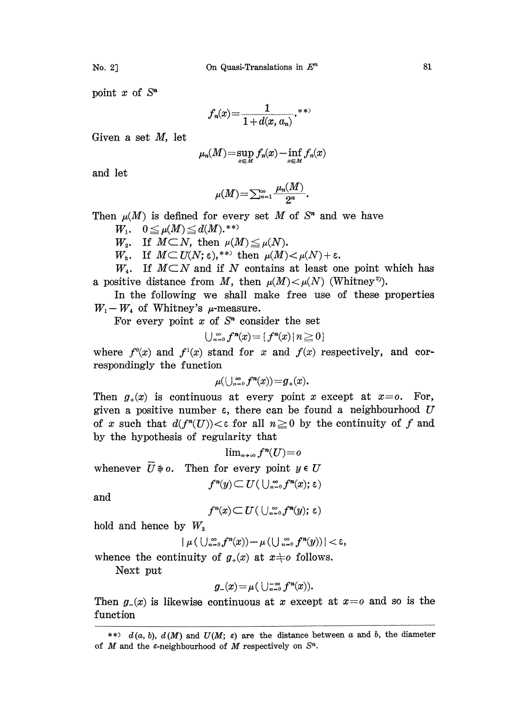point  $x$  of  $S<sup>n</sup>$ 

$$
f_n(x) = \frac{1}{1 + d(x, a_n)} \cdot ^{**}
$$

Given a set M, let

$$
\mu_n(M)\!=\!\sup_{x\in M} f_n(x)-\inf_{x\in M} f_n(x)
$$

and let

$$
\mu(M) = \sum_{n=1}^{\infty} \frac{\mu_n(M)}{2^n}.
$$

Then  $\mu(M)$  is defined for every set M of S<sup>n</sup> and we have

 $W_1. \quad 0 \leq \mu(M) \leq d(M).$ \*\*

 $W_2$ . If  $M\subset N$ , then  $\mu(M) \leq \mu(N)$ .

 $W_{\rm s}$ . If  $M \subset U(N; \varepsilon),$ <sup>\*\*</sup> then  $\mu(M) < \mu(N) + \varepsilon$ .

 $W_4$ . If  $M\subset N$  and if N contains at least one point which has a positive distance from M, then  $\mu(M) < \mu(N)$  (Whitney<sup>3</sup>).

In the following we shall make free use of these properties  $W_1-W_4$  of Whitney's  $\mu$ -measure.

For every point  $x$  of  $S<sup>n</sup>$  consider the set

$$
\bigcup_{n=0}^{\infty} f^{n}(x) = \{f^{n}(x) \mid n \geq 0\}
$$

where  $f^0(x)$  and  $f^1(x)$  stand for x and  $f(x)$  respectively, and correspondingly the function

$$
\mu(\bigcup_{n=0}^\infty f^n(x))=g_+(x).
$$

Then  $g_+(x)$  is continuous at every point x except at  $x=0$ . For, given a positive number  $\varepsilon$ , there can be found a neighbourhood  $U$ of x such that  $d(f^{n}(U)) < \epsilon$  for all  $n \geq 0$  by the continuity of f and by the hypothesis of regularity that

$$
\lim_{n\to\infty}f^n(U)=0
$$

whenever  $\overline{U} \phi$ . Then for every point  $y \in U$ 

$$
f^n(y) \subseteq U(\bigcup_{n=0}^{\infty} f^n(x); \varepsilon)
$$

and

$$
f^n(x) \subset U \left( \bigcup_{n=0}^{\infty} f^n(y); \epsilon \right)
$$

hold and hence by  $W_3$ 

$$
| \ \mu \left( \ \cup_{n=0}^{\infty} f^n(x) \right) - \mu \left( \bigcup_{n=0}^{\infty} f^n(y) \right) | < \varepsilon,
$$

whence the continuity of  $g_+(x)$  at  $x \neq o$  follows.

Next put

$$
g_-(x)\!=\!\mu\big(\cup_{n=0}^{+\infty}f^n\!(x)\big).
$$

Then  $g(x)$  is likewise continuous at x except at  $x = 0$  and so is the function

<sup>\*\*)</sup>  $d(a, b)$ ,  $d(M)$  and  $U(M; \varepsilon)$  are the distance between a and b, the diameter of M and the  $\varepsilon$ -neighbourhood of M respectively on  $S<sup>n</sup>$ .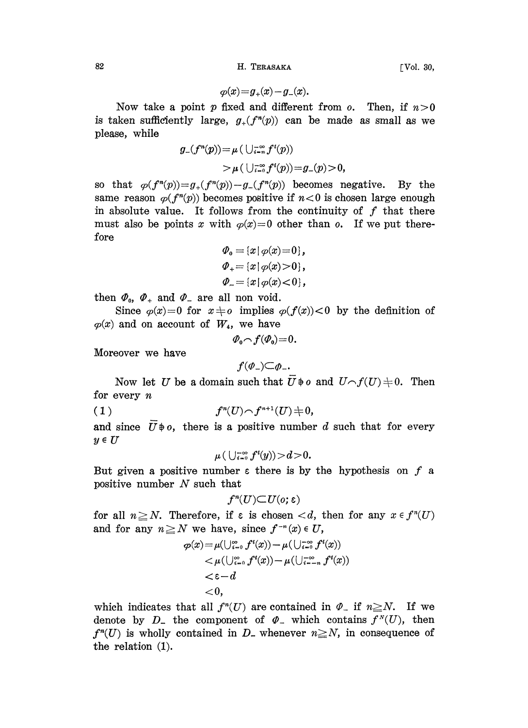82 H. TERASAKA [Vol. 30,

$$
\varphi(x) = g_{+}(x) - g_{-}(x).
$$

Now take a point p fixed and different from  $o$ . Then, if  $n>0$ is taken sufficiently large,  $g_{+}(f^{n}(p))$  can be made as small as we please, while

$$
\begin{aligned} g_-(f^n(p))&=\mu\left(\,\cup_{i=n}^{-\infty}f^i(p)\right)\\&>\mu\left(\,\cup_{i=0}^{-\infty}f^i(p)\right)=g_-(p)\!>\!0,\end{aligned}
$$

so that  $\varphi(f^{n}(p))=g_{+}(f^{n}(p))-g_{-}(f^{n}(p))$  becomes negative. By the same reason  $\varphi(f^{n}(p))$  becomes positive if  $n<0$  is chosen large enough in absolute value. It follows from the continuity of  $f$  that there must also be points x with  $\varphi(x)=0$  other than o. If we put therefore

$$
\varPhi_{0} = \{x \mid \varphi(x) = 0\},
$$
  
\n
$$
\varPhi_{+} = \{x \mid \varphi(x) > 0\},
$$
  
\n
$$
\varPhi_{-} = \{x \mid \varphi(x) < 0\},
$$

then  $\varPhi_0$ ,  $\varPhi_+$  and  $\varPhi_-$  are all non void.

Since  $\varphi(x)=0$  for  $x\neq o$  implies  $\varphi(f(x))<0$  by the definition of  $\varphi(x)$  and on account of  $W_4$ , we have

$$
\mathcal P_0\!\frown\!f(\mathcal P_0)\!=\!0.
$$

Moreover we have

$$
f(\varPhi_{-})\Box\varPhi_{-}.
$$

Now let U be a domain such that  $\overline{U} \not\Rightarrow o$  and  $U \frown f(U) \not\Rightarrow 0$ . Then for every  $n$ 

$$
(1)\qquad \qquad f^{n}(U) {\,\smallfrown\,} f^{n+1}(U) {\,\uparrow\,} 0,
$$

and since  $\overline{U}$   $\phi$ , there is a positive number d such that for every  $y \in U$ 

$$
\mu\left(\,\bigcup_{i=0}^{+\infty}f^i(y)\right)\!>\!d\!>\!0.
$$

But given a positive number  $\varepsilon$  there is by the hypothesis on  $f$  a positive number  $N$  such that

$$
f^n(U){\subset}U(o;\varepsilon)
$$

for all  $n \geq N$ . Therefore, if  $\varepsilon$  is chosen  $< d$ , then for any  $x \in f^{(n)}(U)$ and for any  $n \geq N$  we have, since  $f^{-n}(x) \in U$ ,

$$
\begin{aligned} \varphi(x)\!=&\mu(\cup_{i=0}^\infty f^i(x))\!-\!\mu(\cup_{i=0}^{\infty} f^i(x))\\&<\!\mu(\cup_{i=0}^\infty f^i(x))\!-\!\mu(\cup_{i=-n}^{\infty} f^i(x))\\&<\!\epsilon\!-\!d\\&<\!0,\end{aligned}
$$

which indicates that all  $f^n(U)$  are contained which indicates that all  $f^n(U)$  are contained in  $\varPhi_-$  if  $n \geq N$ . If we denote by  $D_-$  the component of  $\varPhi_-$  which contains  $f^N(U)$ , then denote by  $D_{-}$  the component of  $\varphi_{-}$  which contains  $f^{N}(U)$ , then  $f^{n}(U)$  is wholly contained in  $D_{-}$  whenever  $n \geq N$ , in consequence of the relation (1).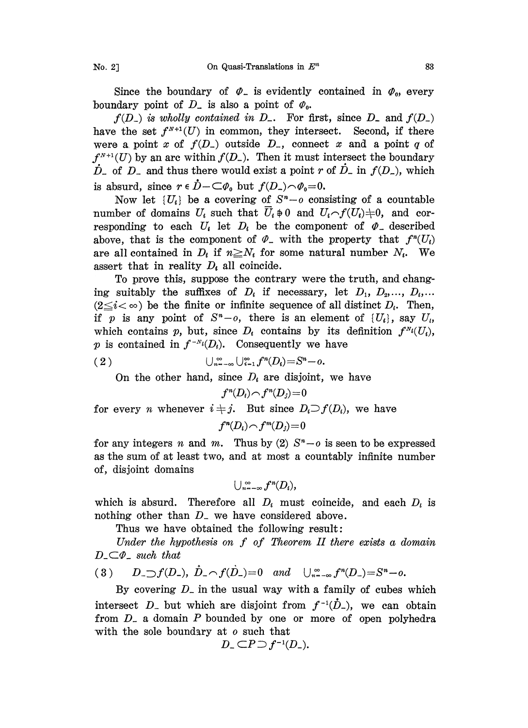Since the boundary of  $\varphi$  is evidently contained in  $\varphi_o$ , every boundary point of  $D_$  is also a point of  $\varphi_0$ .

 $f(D_-)$  is wholly contained in  $D_-$ . For first, since  $D_-$  and  $f(D_-)$ have the set  $f^{N+1}(U)$  in common, they intersect. Second, if there were a point x of  $f(D_-)$  outside  $D_-$ , connect x and a point q of  $f^{N+1}(U)$  by an arc within  $f(D_{-})$ . Then it must intersect the boundary  $\dot{D}_-$  of  $D_-$  and thus there would exist a point r of  $\dot{D}_-$  in  $f(D_-)$ , which is absurd, since  $r \in \dot{D} - \subset \varphi_0$  but  $f(D_-) \cap \varphi_0 = 0$ .

Now let  $\{U_i\}$  be a covering of  $S<sup>n</sup> - o$  consisting of a countable number of domains  $U_i$  such that  $U_i \neq 0$  and  $U_i \neg f(U_i) \neq 0$ , and cor-Now let  $\{U_i\}$  be a covering of  $S^n - o$  consisting of a countable<br>number of domains  $U_i$  such that  $\overline{U}_i \neq 0$  and  $U_i \frown f(U_i) \neq 0$ , and cor-<br>responding to each  $U_i$  let  $D_i$  be the component of  $\varPhi$ <sub>-</sub> described number of domains  $U_i$  such that  $U_i \oplus 0$  and  $U_i \cap f(U_i) \oplus 0$ , and cor-<br>responding to each  $U_i$  let  $D_i$  be the component of  $\varPhi$ <sub>-</sub> described<br>above, that is the component of  $\varPhi$ <sub>-</sub> with the property that  $f^*(U_i)$ are all contained in  $D_i$  if  $n \geq N_i$  for some natural number  $N_i$ . We assert that in reality  $D_t$  all coincide.

To prove his, suppose the contrary were the truth, and changing suitably the suffixes of  $D_i$  if necessary, let  $D_1, D_2, ..., D_i, ...$  $(2 \leq i < \infty)$  be the finite or infinite sequence of all distinct  $D_i$ . Then, if p is any point of  $S<sup>n</sup>-o$ , there is an element of  $\{U_i\}$ , say  $U_i$ , which contains p, but, since  $D_i$  contains by its definition  $f^{N_i}(U_i)$ , p is contained in  $f^{-N_i}(D_i)$ . Consequently we have

$$
(2) \qquad \qquad \bigcup_{n=-\infty}^{\infty} \bigcup_{i=1}^{\infty} f^{n}(D_{i}) = S^{n} - o.
$$

On the other hand, since  $D_i$  are disjoint, we have

$$
f^n(D_i) \cap f^n(D_j) = 0
$$

for every *n* whenever  $i \neq j$ . But since  $D_i \supset f(D_i)$ , we have

 $f^{n}(D_i) \cap f^{m}(D_i)=0$ 

for any integers n and m. Thus by (2)  $S<sup>n</sup>-o$  is seen to be expressed as the sum of at least two, and at most a countably infinite number of, disjoint domains

$$
\bigcup_{n=-\infty}^{\infty} f^n(D_i),
$$

which is absurd. Therefore all  $D_i$  must coincide, and each  $D_i$  is nothing other than  $D$ , we have considered above.

Thus we have obtained the following result:

Under the hypothesis on  $f$  of Theorem II there exists a domain  $D_{-}C\varPhi_{-}$  such that

(3) 
$$
D_{-}f(D_{-}), \hat{D}_{-}f(D_{-})=0
$$
 and  $\bigcup_{n=-\infty}^{\infty} f^{n}(D_{-})=S^{n}-o.$ 

By covering  $D<sub>-</sub>$  in the usual way with a family of cubes which intersect  $D_{-}$  but which are disjoint from  $f^{-1}(\dot{D}_{-})$ , we can obtain from  $D<sub>-</sub>$  a domain P bounded by one or more of open polyhedra with the sole boundary at  $o$  such that<br> $D_{-} \subset P \supset f^{-1}(D_{-}).$ 

$$
D_{-} \subset P \supset f^{-1}(D_{-}).
$$